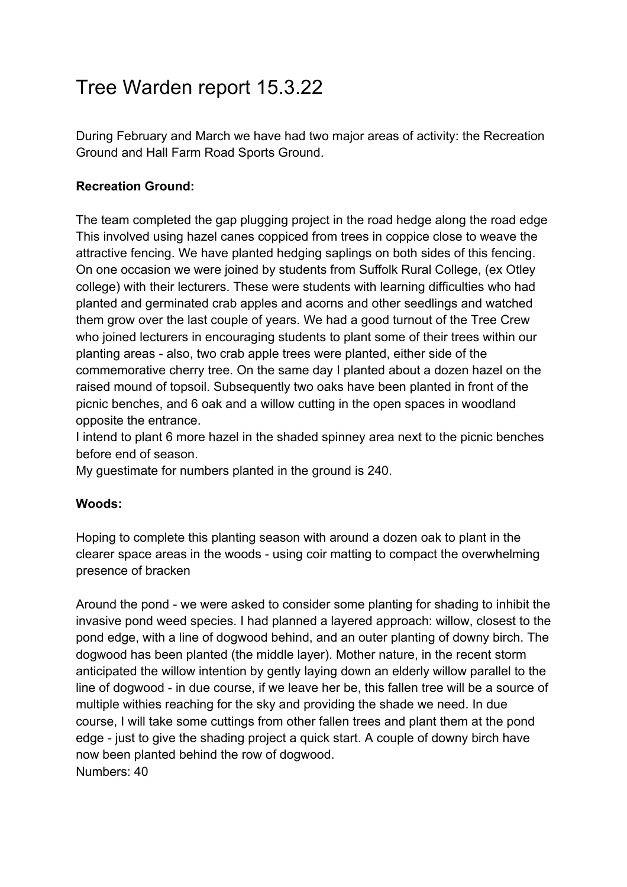# Tree Warden report 15.3.22

During February and March we have had two major areas of activity: the Recreation Ground and Hall Farm Road Sports Ground.

## **Recreation Ground:**

The team completed the gap plugging project in the road hedge along the road edge This involved using hazel canes coppiced from trees in coppice close to weave the attractive fencing. We have planted hedging saplings on both sides of this fencing. On one occasion we were joined by students from Suffolk Rural College, (ex Otley college) with their lecturers. These were students with learning difficulties who had planted and germinated crab apples and acorns and other seedlings and watched them grow over the last couple of years. We had a good turnout of the Tree Crew who joined lecturers in encouraging students to plant some of their trees within our planting areas - also, two crab apple trees were planted, either side of the commemorative cherry tree. On the same day I planted about a dozen hazel on the raised mound of topsoil. Subsequently two oaks have been planted in front of the picnic benches, and 6 oak and a willow cutting in the open spaces in woodland opposite the entrance.

I intend to plant 6 more hazel in the shaded spinney area next to the picnic benches before end of season.

My guestimate for numbers planted in the ground is 240.

#### **Woods:**

Hoping to complete this planting season with around a dozen oak to plant in the clearer space areas in the woods - using coir matting to compact the overwhelming presence of bracken

Around the pond - we were asked to consider some planting for shading to inhibit the invasive pond weed species. I had planned a layered approach: willow, closest to the pond edge, with a line of dogwood behind, and an outer planting of downy birch. The dogwood has been planted (the middle layer). Mother nature, in the recent storm anticipated the willow intention by gently laying down an elderly willow parallel to the line of dogwood - in due course, if we leave her be, this fallen tree will be a source of multiple withies reaching for the sky and providing the shade we need. In due course, I will take some cuttings from other fallen trees and plant them at the pond edge - just to give the shading project a quick start. A couple of downy birch have now been planted behind the row of dogwood. Numbers: 40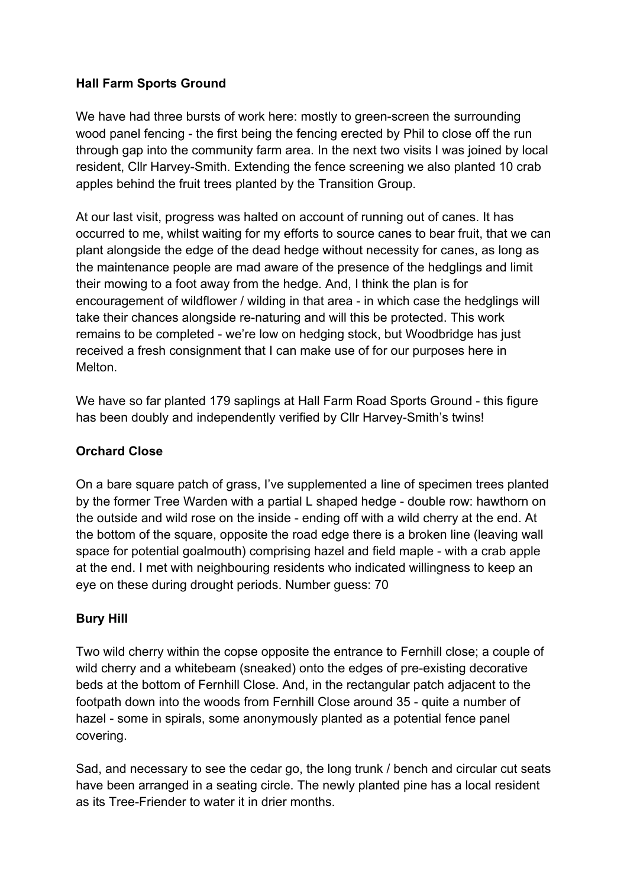## **Hall Farm Sports Ground**

We have had three bursts of work here: mostly to green-screen the surrounding wood panel fencing - the first being the fencing erected by Phil to close off the run through gap into the community farm area. In the next two visits I was joined by local resident, Cllr Harvey-Smith. Extending the fence screening we also planted 10 crab apples behind the fruit trees planted by the Transition Group.

At our last visit, progress was halted on account of running out of canes. It has occurred to me, whilst waiting for my efforts to source canes to bear fruit, that we can plant alongside the edge of the dead hedge without necessity for canes, as long as the maintenance people are mad aware of the presence of the hedglings and limit their mowing to a foot away from the hedge. And, I think the plan is for encouragement of wildflower / wilding in that area - in which case the hedglings will take their chances alongside re-naturing and will this be protected. This work remains to be completed - we're low on hedging stock, but Woodbridge has just received a fresh consignment that I can make use of for our purposes here in Melton.

We have so far planted 179 saplings at Hall Farm Road Sports Ground - this figure has been doubly and independently verified by Cllr Harvey-Smith's twins!

## **Orchard Close**

On a bare square patch of grass, I've supplemented a line of specimen trees planted by the former Tree Warden with a partial L shaped hedge - double row: hawthorn on the outside and wild rose on the inside - ending off with a wild cherry at the end. At the bottom of the square, opposite the road edge there is a broken line (leaving wall space for potential goalmouth) comprising hazel and field maple - with a crab apple at the end. I met with neighbouring residents who indicated willingness to keep an eye on these during drought periods. Number guess: 70

#### **Bury Hill**

Two wild cherry within the copse opposite the entrance to Fernhill close; a couple of wild cherry and a whitebeam (sneaked) onto the edges of pre-existing decorative beds at the bottom of Fernhill Close. And, in the rectangular patch adjacent to the footpath down into the woods from Fernhill Close around 35 - quite a number of hazel - some in spirals, some anonymously planted as a potential fence panel covering.

Sad, and necessary to see the cedar go, the long trunk / bench and circular cut seats have been arranged in a seating circle. The newly planted pine has a local resident as its Tree-Friender to water it in drier months.